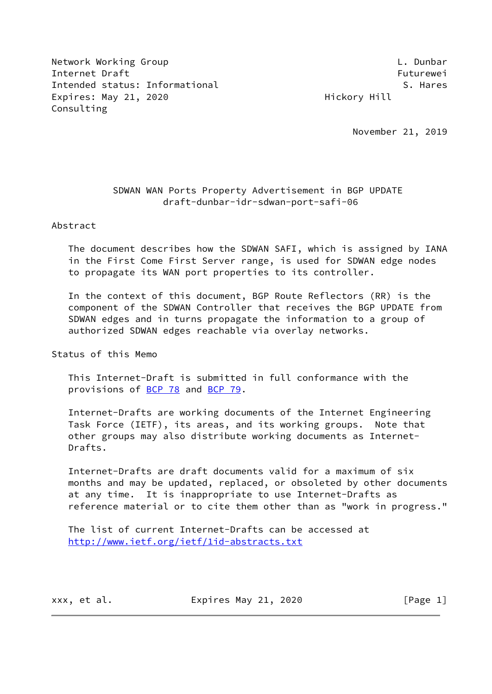Network Working Group **Letter Contains the Container Container** L. Dunbar Internet Draft Futurewei Intended status: Informational S. Hares Expires: May 21, 2020 **Hickory Hill** Consulting

November 21, 2019

# SDWAN WAN Ports Property Advertisement in BGP UPDATE draft-dunbar-idr-sdwan-port-safi-06

Abstract

 The document describes how the SDWAN SAFI, which is assigned by IANA in the First Come First Server range, is used for SDWAN edge nodes to propagate its WAN port properties to its controller.

 In the context of this document, BGP Route Reflectors (RR) is the component of the SDWAN Controller that receives the BGP UPDATE from SDWAN edges and in turns propagate the information to a group of authorized SDWAN edges reachable via overlay networks.

Status of this Memo

 This Internet-Draft is submitted in full conformance with the provisions of [BCP 78](https://datatracker.ietf.org/doc/pdf/bcp78) and [BCP 79](https://datatracker.ietf.org/doc/pdf/bcp79).

 Internet-Drafts are working documents of the Internet Engineering Task Force (IETF), its areas, and its working groups. Note that other groups may also distribute working documents as Internet- Drafts.

 Internet-Drafts are draft documents valid for a maximum of six months and may be updated, replaced, or obsoleted by other documents at any time. It is inappropriate to use Internet-Drafts as reference material or to cite them other than as "work in progress."

 The list of current Internet-Drafts can be accessed at <http://www.ietf.org/ietf/1id-abstracts.txt>

xxx, et al. Expires May 21, 2020 [Page 1]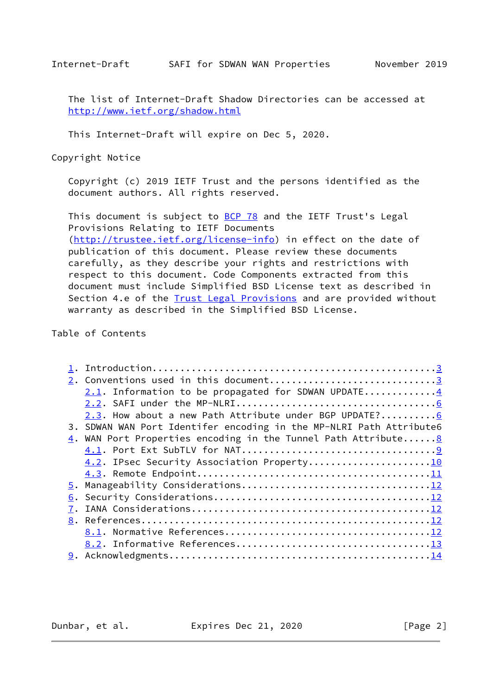The list of Internet-Draft Shadow Directories can be accessed at <http://www.ietf.org/shadow.html>

This Internet-Draft will expire on Dec 5, 2020.

Copyright Notice

 Copyright (c) 2019 IETF Trust and the persons identified as the document authors. All rights reserved.

This document is subject to [BCP 78](https://datatracker.ietf.org/doc/pdf/bcp78) and the IETF Trust's Legal Provisions Relating to IETF Documents

[\(http://trustee.ietf.org/license-info](http://trustee.ietf.org/license-info)) in effect on the date of publication of this document. Please review these documents carefully, as they describe your rights and restrictions with respect to this document. Code Components extracted from this document must include Simplified BSD License text as described in Section 4.e of the **[Trust Legal Provisions](https://trustee.ietf.org/license-info)** and are provided without warranty as described in the Simplified BSD License.

Table of Contents

| 2. Conventions used in this document3                                         |
|-------------------------------------------------------------------------------|
| 2.1. Information to be propagated for SDWAN UPDATE4                           |
|                                                                               |
| 2.3. How about a new Path Attribute under BGP UPDATE?6                        |
| 3. SDWAN WAN Port Identifer encoding in the MP-NLRI Path Attribute6           |
| $\underline{4}$ . WAN Port Properties encoding in the Tunnel Path Attribute 8 |
|                                                                               |
| 4.2. IPsec Security Association Property10                                    |
|                                                                               |
|                                                                               |
|                                                                               |
|                                                                               |
|                                                                               |
|                                                                               |
|                                                                               |
|                                                                               |

Dunbar, et al. Expires Dec 21, 2020 [Page 2]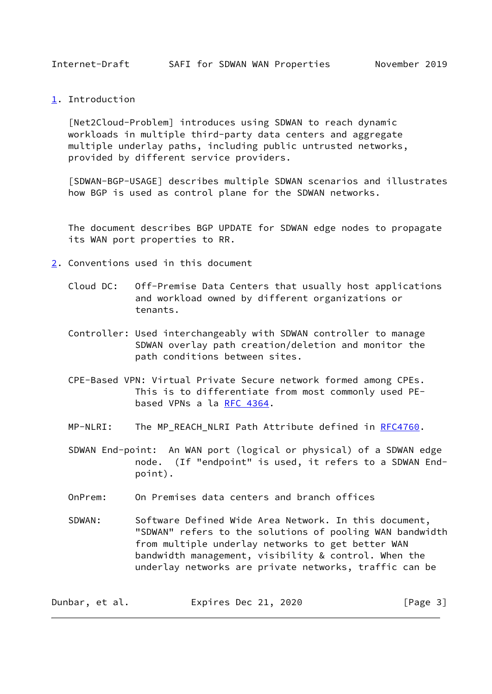<span id="page-2-1"></span><span id="page-2-0"></span>[1](#page-2-0). Introduction

 [Net2Cloud-Problem] introduces using SDWAN to reach dynamic workloads in multiple third-party data centers and aggregate multiple underlay paths, including public untrusted networks, provided by different service providers.

<span id="page-2-3"></span> [SDWAN-BGP-USAGE] describes multiple SDWAN scenarios and illustrates how BGP is used as control plane for the SDWAN networks.

 The document describes BGP UPDATE for SDWAN edge nodes to propagate its WAN port properties to RR.

- <span id="page-2-2"></span>[2](#page-2-2). Conventions used in this document
	- Cloud DC: Off-Premise Data Centers that usually host applications and workload owned by different organizations or tenants.
	- Controller: Used interchangeably with SDWAN controller to manage SDWAN overlay path creation/deletion and monitor the path conditions between sites.
	- CPE-Based VPN: Virtual Private Secure network formed among CPEs. This is to differentiate from most commonly used PE based VPNs a la [RFC 4364.](https://datatracker.ietf.org/doc/pdf/rfc4364)
	- MP-NLRI: The MP\_REACH\_NLRI Path Attribute defined in [RFC4760](https://datatracker.ietf.org/doc/pdf/rfc4760).
	- SDWAN End-point: An WAN port (logical or physical) of a SDWAN edge node. (If "endpoint" is used, it refers to a SDWAN End point).
	- OnPrem: On Premises data centers and branch offices
	- SDWAN: Software Defined Wide Area Network. In this document, "SDWAN" refers to the solutions of pooling WAN bandwidth from multiple underlay networks to get better WAN bandwidth management, visibility & control. When the underlay networks are private networks, traffic can be

| Dunbar, et al. | Expires Dec 21, 2020 | [Page 3] |
|----------------|----------------------|----------|
|----------------|----------------------|----------|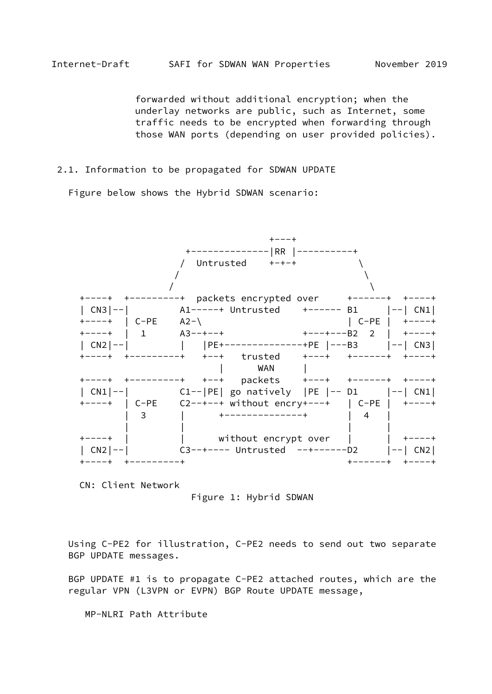<span id="page-3-0"></span> forwarded without additional encryption; when the underlay networks are public, such as Internet, some traffic needs to be encrypted when forwarding through those WAN ports (depending on user provided policies).

## 2.1. Information to be propagated for SDWAN UPDATE

Figure below shows the Hybrid SDWAN scenario:



CN: Client Network

Figure 1: Hybrid SDWAN

 Using C-PE2 for illustration, C-PE2 needs to send out two separate BGP UPDATE messages.

 BGP UPDATE #1 is to propagate C-PE2 attached routes, which are the regular VPN (L3VPN or EVPN) BGP Route UPDATE message,

MP-NLRI Path Attribute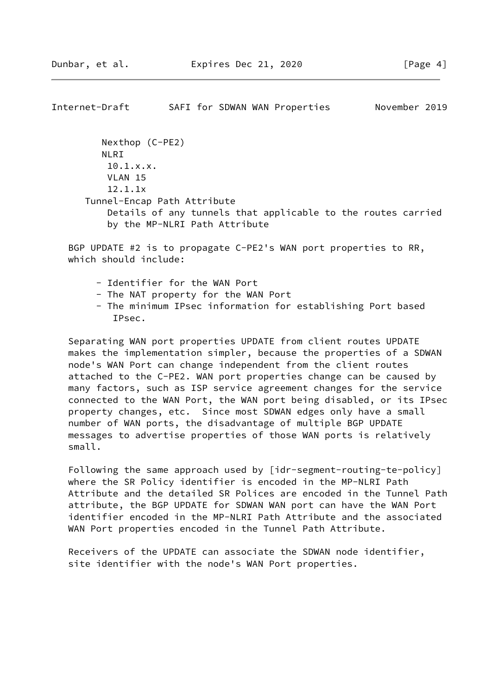Internet-Draft SAFI for SDWAN WAN Properties November 2019 Nexthop (C-PE2) NLRI 10.1.x.x. VLAN 15

 12.1.1x Tunnel-Encap Path Attribute Details of any tunnels that applicable to the routes carried by the MP-NLRI Path Attribute

 BGP UPDATE #2 is to propagate C-PE2's WAN port properties to RR, which should include:

- Identifier for the WAN Port
- The NAT property for the WAN Port
- The minimum IPsec information for establishing Port based IPsec.

 Separating WAN port properties UPDATE from client routes UPDATE makes the implementation simpler, because the properties of a SDWAN node's WAN Port can change independent from the client routes attached to the C-PE2. WAN port properties change can be caused by many factors, such as ISP service agreement changes for the service connected to the WAN Port, the WAN port being disabled, or its IPsec property changes, etc. Since most SDWAN edges only have a small number of WAN ports, the disadvantage of multiple BGP UPDATE messages to advertise properties of those WAN ports is relatively small.

 Following the same approach used by [idr-segment-routing-te-policy] where the SR Policy identifier is encoded in the MP-NLRI Path Attribute and the detailed SR Polices are encoded in the Tunnel Path attribute, the BGP UPDATE for SDWAN WAN port can have the WAN Port identifier encoded in the MP-NLRI Path Attribute and the associated WAN Port properties encoded in the Tunnel Path Attribute.

 Receivers of the UPDATE can associate the SDWAN node identifier, site identifier with the node's WAN Port properties.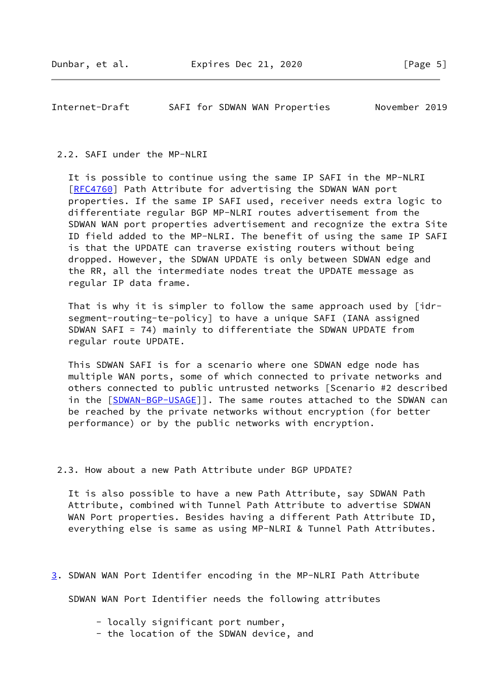<span id="page-5-0"></span>Internet-Draft SAFI for SDWAN WAN Properties November 2019

### 2.2. SAFI under the MP-NLRI

 It is possible to continue using the same IP SAFI in the MP-NLRI [\[RFC4760](https://datatracker.ietf.org/doc/pdf/rfc4760)] Path Attribute for advertising the SDWAN WAN port properties. If the same IP SAFI used, receiver needs extra logic to differentiate regular BGP MP-NLRI routes advertisement from the SDWAN WAN port properties advertisement and recognize the extra Site ID field added to the MP-NLRI. The benefit of using the same IP SAFI is that the UPDATE can traverse existing routers without being dropped. However, the SDWAN UPDATE is only between SDWAN edge and the RR, all the intermediate nodes treat the UPDATE message as regular IP data frame.

 That is why it is simpler to follow the same approach used by [idr segment-routing-te-policy] to have a unique SAFI (IANA assigned SDWAN SAFI = 74) mainly to differentiate the SDWAN UPDATE from regular route UPDATE.

 This SDWAN SAFI is for a scenario where one SDWAN edge node has multiple WAN ports, some of which connected to private networks and others connected to public untrusted networks [Scenario #2 described in the [\[SDWAN-BGP-USAGE](#page-2-3)]]. The same routes attached to the SDWAN can be reached by the private networks without encryption (for better performance) or by the public networks with encryption.

2.3. How about a new Path Attribute under BGP UPDATE?

 It is also possible to have a new Path Attribute, say SDWAN Path Attribute, combined with Tunnel Path Attribute to advertise SDWAN WAN Port properties. Besides having a different Path Attribute ID, everything else is same as using MP-NLRI & Tunnel Path Attributes.

<span id="page-5-1"></span>[3](#page-5-1). SDWAN WAN Port Identifer encoding in the MP-NLRI Path Attribute

SDWAN WAN Port Identifier needs the following attributes

- locally significant port number,
- the location of the SDWAN device, and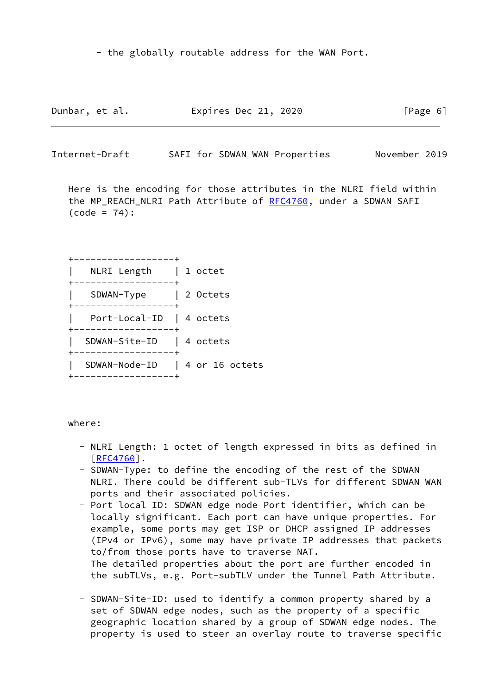- the globally routable address for the WAN Port.

| Dunbar, et al. | Expires Dec 21, 2020 | [Page 6] |
|----------------|----------------------|----------|
|----------------|----------------------|----------|

Internet-Draft SAFI for SDWAN WAN Properties November 2019

 Here is the encoding for those attributes in the NLRI field within the MP\_REACH\_NLRI Path Attribute of [RFC4760,](https://datatracker.ietf.org/doc/pdf/rfc4760) under a SDWAN SAFI  $(code = 74)$ :

 +------------------+ | NLRI Length | 1 octet +------------------+ | SDWAN-Type | 2 Octets +------------------+ | Port-Local-ID | 4 octets +------------------+ | SDWAN-Site-ID | 4 octets +------------------+ | SDWAN-Node-ID | 4 or 16 octets +------------------+

### where:

- NLRI Length: 1 octet of length expressed in bits as defined in  $[REC4760]$ .
- SDWAN-Type: to define the encoding of the rest of the SDWAN NLRI. There could be different sub-TLVs for different SDWAN WAN ports and their associated policies.
- Port local ID: SDWAN edge node Port identifier, which can be locally significant. Each port can have unique properties. For example, some ports may get ISP or DHCP assigned IP addresses (IPv4 or IPv6), some may have private IP addresses that packets to/from those ports have to traverse NAT. The detailed properties about the port are further encoded in the subTLVs, e.g. Port-subTLV under the Tunnel Path Attribute.
- SDWAN-Site-ID: used to identify a common property shared by a set of SDWAN edge nodes, such as the property of a specific geographic location shared by a group of SDWAN edge nodes. The property is used to steer an overlay route to traverse specific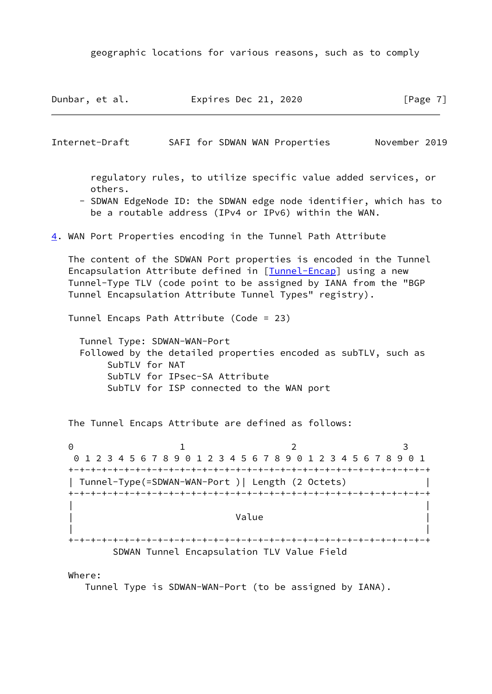geographic locations for various reasons, such as to comply

<span id="page-7-1"></span><span id="page-7-0"></span>Dunbar, et al. **Expires Dec 21, 2020** [Page 7] Internet-Draft SAFI for SDWAN WAN Properties November 2019 regulatory rules, to utilize specific value added services, or others. - SDWAN EdgeNode ID: the SDWAN edge node identifier, which has to be a routable address (IPv4 or IPv6) within the WAN. [4](#page-7-0). WAN Port Properties encoding in the Tunnel Path Attribute The content of the SDWAN Port properties is encoded in the Tunnel Encapsulation Attribute defined in [[Tunnel-Encap\]](#page-13-2) using a new Tunnel-Type TLV (code point to be assigned by IANA from the "BGP Tunnel Encapsulation Attribute Tunnel Types" registry). Tunnel Encaps Path Attribute (Code = 23) Tunnel Type: SDWAN-WAN-Port Followed by the detailed properties encoded as subTLV, such as SubTLV for NAT SubTLV for IPsec-SA Attribute SubTLV for ISP connected to the WAN port The Tunnel Encaps Attribute are defined as follows: 0 1 2 3 0 1 2 3 4 5 6 7 8 9 0 1 2 3 4 5 6 7 8 9 0 1 2 3 4 5 6 7 8 9 0 1 +-+-+-+-+-+-+-+-+-+-+-+-+-+-+-+-+-+-+-+-+-+-+-+-+-+-+-+-+-+-+-+-+ | Tunnel-Type(=SDWAN-WAN-Port )| Length (2 Octets) | +-+-+-+-+-+-+-+-+-+-+-+-+-+-+-+-+-+-+-+-+-+-+-+-+-+-+-+-+-+-+-+-+ | | | **Value** | **Value** | **Value** | **Value** | **Value** | **Value** | **Value** | **1**  | | +-+-+-+-+-+-+-+-+-+-+-+-+-+-+-+-+-+-+-+-+-+-+-+-+-+-+-+-+-+-+-+-+ SDWAN Tunnel Encapsulation TLV Value Field

Where:

Tunnel Type is SDWAN-WAN-Port (to be assigned by IANA).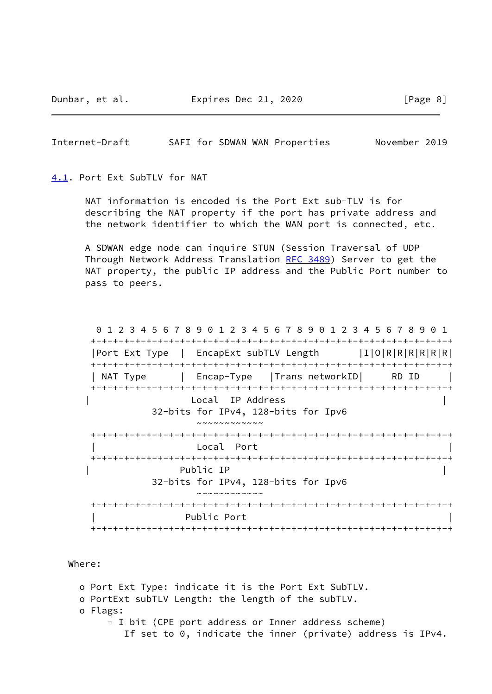Dunbar, et al. **Expires Dec 21, 2020** [Page 8]

<span id="page-8-1"></span>Internet-Draft SAFI for SDWAN WAN Properties November 2019

<span id="page-8-0"></span>[4.1](#page-8-0). Port Ext SubTLV for NAT

 NAT information is encoded is the Port Ext sub-TLV is for describing the NAT property if the port has private address and the network identifier to which the WAN port is connected, etc.

 A SDWAN edge node can inquire STUN (Session Traversal of UDP Through Network Address Translation [RFC 3489\)](https://datatracker.ietf.org/doc/pdf/rfc3489) Server to get the NAT property, the public IP address and the Public Port number to pass to peers.

 0 1 2 3 4 5 6 7 8 9 0 1 2 3 4 5 6 7 8 9 0 1 2 3 4 5 6 7 8 9 0 1 +-+-+-+-+-+-+-+-+-+-+-+-+-+-+-+-+-+-+-+-+-+-+-+-+-+-+-+-+-+-+-+-+ |Port Ext Type | EncapExt subTLV Length |I|O|R|R|R|R|R|R| +-+-+-+-+-+-+-+-+-+-+-+-+-+-+-+-+-+-+-+-+-+-+-+-+-+-+-+-+-+-+-+-+ | NAT Type | Encap-Type | Trans networkID| RD ID | +-+-+-+-+-+-+-+-+-+-+-+-+-+-+-+-+-+-+-+-+-+-+-+-+-+-+-+-+-+-+-+-+ | Local IP Address | 32-bits for IPv4, 128-bits for Ipv6  $~\sim~\sim~\sim~\sim~\sim~\sim~\sim~\sim~\sim~$  +-+-+-+-+-+-+-+-+-+-+-+-+-+-+-+-+-+-+-+-+-+-+-+-+-+-+-+-+-+-+-+-+ Local Port +-+-+-+-+-+-+-+-+-+-+-+-+-+-+-+-+-+-+-+-+-+-+-+-+-+-+-+-+-+-+-+-+ | Public IP | 32-bits for IPv4, 128-bits for Ipv6 ~~~~~~~~~~~~ +-+-+-+-+-+-+-+-+-+-+-+-+-+-+-+-+-+-+-+-+-+-+-+-+-+-+-+-+-+-+-+-+ Public Port +-+-+-+-+-+-+-+-+-+-+-+-+-+-+-+-+-+-+-+-+-+-+-+-+-+-+-+-+-+-+-+-+

Where:

 o Port Ext Type: indicate it is the Port Ext SubTLV. o PortExt subTLV Length: the length of the subTLV. o Flags: - I bit (CPE port address or Inner address scheme) If set to 0, indicate the inner (private) address is IPv4.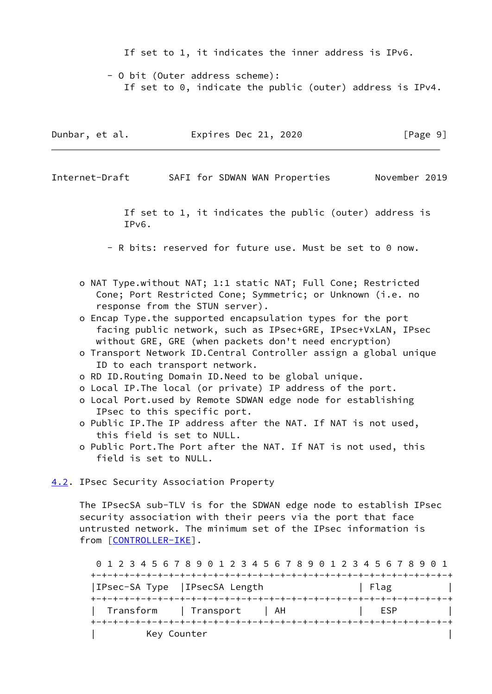If set to 1, it indicates the inner address is IPv6.

 - O bit (Outer address scheme): If set to 0, indicate the public (outer) address is IPv4.

| Dunbar, et al. | Expires Dec 21, 2020 | [Page 9] |
|----------------|----------------------|----------|
|----------------|----------------------|----------|

<span id="page-9-1"></span>Internet-Draft SAFI for SDWAN WAN Properties November 2019

 If set to 1, it indicates the public (outer) address is IPv6.

- R bits: reserved for future use. Must be set to 0 now.

- o NAT Type.without NAT; 1:1 static NAT; Full Cone; Restricted Cone; Port Restricted Cone; Symmetric; or Unknown (i.e. no response from the STUN server).
- o Encap Type.the supported encapsulation types for the port facing public network, such as IPsec+GRE, IPsec+VxLAN, IPsec without GRE, GRE (when packets don't need encryption)
- o Transport Network ID.Central Controller assign a global unique ID to each transport network.
- o RD ID.Routing Domain ID.Need to be global unique.
- o Local IP.The local (or private) IP address of the port.
- o Local Port.used by Remote SDWAN edge node for establishing IPsec to this specific port.
- o Public IP.The IP address after the NAT. If NAT is not used, this field is set to NULL.
- o Public Port.The Port after the NAT. If NAT is not used, this field is set to NULL.

<span id="page-9-0"></span>[4.2](#page-9-0). IPsec Security Association Property

 The IPsecSA sub-TLV is for the SDWAN edge node to establish IPsec security association with their peers via the port that face untrusted network. The minimum set of the IPsec information is from [\[CONTROLLER-IKE](#page-12-1)].

 0 1 2 3 4 5 6 7 8 9 0 1 2 3 4 5 6 7 8 9 0 1 2 3 4 5 6 7 8 9 0 1 +-+-+-+-+-+-+-+-+-+-+-+-+-+-+-+-+-+-+-+-+-+-+-+-+-+-+-+-+-+-+-+-+ |IPsec-SA Type | IPsecSA Length | Flag +-+-+-+-+-+-+-+-+-+-+-+-+-+-+-+-+-+-+-+-+-+-+-+-+-+-+-+-+-+-+-+-+ Transform | Transport | AH | ESP +-+-+-+-+-+-+-+-+-+-+-+-+-+-+-+-+-+-+-+-+-+-+-+-+-+-+-+-+-+-+-+-+ Key Counter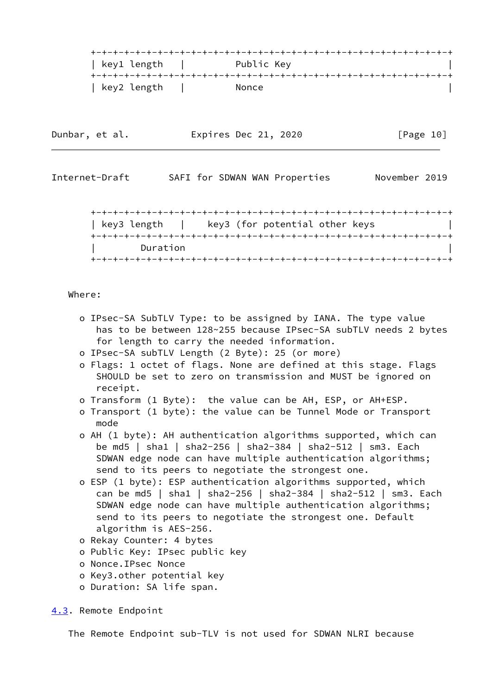

| Dunbar, et al. | Expires Dec 21, 2020 | [Page 10] |
|----------------|----------------------|-----------|
|----------------|----------------------|-----------|

<span id="page-10-1"></span>Internet-Draft SAFI for SDWAN WAN Properties November 2019

 +-+-+-+-+-+-+-+-+-+-+-+-+-+-+-+-+-+-+-+-+-+-+-+-+-+-+-+-+-+-+-+-+ | key3 length | key3 (for potential other keys | +-+-+-+-+-+-+-+-+-+-+-+-+-+-+-+-+-+-+-+-+-+-+-+-+-+-+-+-+-+-+-+-+ Duration +-+-+-+-+-+-+-+-+-+-+-+-+-+-+-+-+-+-+-+-+-+-+-+-+-+-+-+-+-+-+-+-+

# Where:

- o IPsec-SA SubTLV Type: to be assigned by IANA. The type value has to be between 128~255 because IPsec-SA subTLV needs 2 bytes for length to carry the needed information.
- o IPsec-SA subTLV Length (2 Byte): 25 (or more)
- o Flags: 1 octet of flags. None are defined at this stage. Flags SHOULD be set to zero on transmission and MUST be ignored on receipt.
- o Transform (1 Byte): the value can be AH, ESP, or AH+ESP.
- o Transport (1 byte): the value can be Tunnel Mode or Transport mode
- o AH (1 byte): AH authentication algorithms supported, which can be md5 | sha1 | sha2-256 | sha2-384 | sha2-512 | sm3. Each SDWAN edge node can have multiple authentication algorithms; send to its peers to negotiate the strongest one.
- o ESP (1 byte): ESP authentication algorithms supported, which can be md5 | sha1 | sha2-256 | sha2-384 | sha2-512 | sm3. Each SDWAN edge node can have multiple authentication algorithms; send to its peers to negotiate the strongest one. Default algorithm is AES-256.
- o Rekay Counter: 4 bytes
- o Public Key: IPsec public key
- o Nonce.IPsec Nonce
- o Key3.other potential key
- o Duration: SA life span.

#### <span id="page-10-0"></span>[4.3](#page-10-0). Remote Endpoint

The Remote Endpoint sub-TLV is not used for SDWAN NLRI because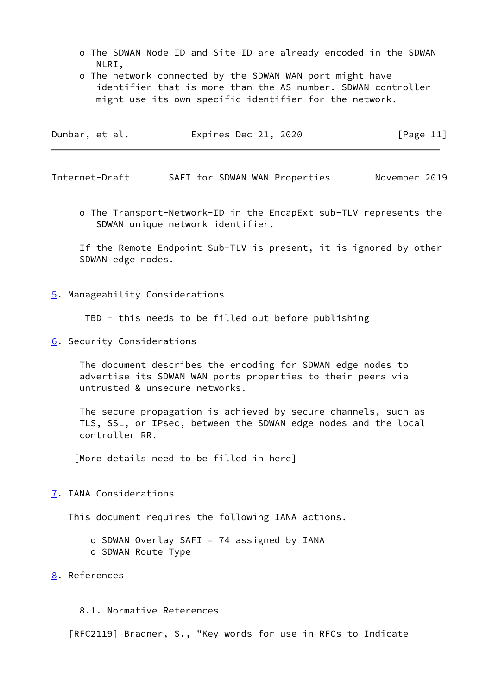- o The SDWAN Node ID and Site ID are already encoded in the SDWAN NLRI,
- o The network connected by the SDWAN WAN port might have identifier that is more than the AS number. SDWAN controller might use its own specific identifier for the network.

| Dunbar, et al. | Expires Dec 21, 2020 | [Page 11] |
|----------------|----------------------|-----------|
|----------------|----------------------|-----------|

<span id="page-11-1"></span>Internet-Draft SAFI for SDWAN WAN Properties November 2019

 o The Transport-Network-ID in the EncapExt sub-TLV represents the SDWAN unique network identifier.

 If the Remote Endpoint Sub-TLV is present, it is ignored by other SDWAN edge nodes.

<span id="page-11-0"></span>[5](#page-11-0). Manageability Considerations

TBD - this needs to be filled out before publishing

<span id="page-11-2"></span>[6](#page-11-2). Security Considerations

 The document describes the encoding for SDWAN edge nodes to advertise its SDWAN WAN ports properties to their peers via untrusted & unsecure networks.

 The secure propagation is achieved by secure channels, such as TLS, SSL, or IPsec, between the SDWAN edge nodes and the local controller RR.

[More details need to be filled in here]

<span id="page-11-3"></span>[7](#page-11-3). IANA Considerations

This document requires the following IANA actions.

 o SDWAN Overlay SAFI = 74 assigned by IANA o SDWAN Route Type

<span id="page-11-4"></span>[8](#page-11-4). References

8.1. Normative References

[RFC2119] Bradner, S., "Key words for use in RFCs to Indicate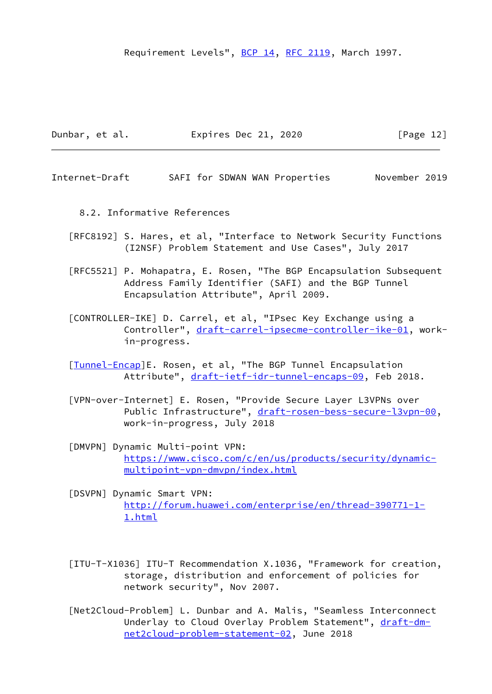Requirement Levels", [BCP 14](https://datatracker.ietf.org/doc/pdf/bcp14), [RFC 2119,](https://datatracker.ietf.org/doc/pdf/rfc2119) March 1997.

| Dunbar, et al. | Expires Dec 21, 2020 | [Page 12] |
|----------------|----------------------|-----------|
|----------------|----------------------|-----------|

<span id="page-12-0"></span>Internet-Draft SAFI for SDWAN WAN Properties November 2019

- 8.2. Informative References
- [RFC8192] S. Hares, et al, "Interface to Network Security Functions (I2NSF) Problem Statement and Use Cases", July 2017
- [RFC5521] P. Mohapatra, E. Rosen, "The BGP Encapsulation Subsequent Address Family Identifier (SAFI) and the BGP Tunnel Encapsulation Attribute", April 2009.
- <span id="page-12-1"></span> [CONTROLLER-IKE] D. Carrel, et al, "IPsec Key Exchange using a Controller", [draft-carrel-ipsecme-controller-ike-01](https://datatracker.ietf.org/doc/pdf/draft-carrel-ipsecme-controller-ike-01), work in-progress.
- [\[Tunnel-Encap](#page-13-2)]E. Rosen, et al, "The BGP Tunnel Encapsulation Attribute", [draft-ietf-idr-tunnel-encaps-09](https://datatracker.ietf.org/doc/pdf/draft-ietf-idr-tunnel-encaps-09), Feb 2018.
- [VPN-over-Internet] E. Rosen, "Provide Secure Layer L3VPNs over Public Infrastructure", [draft-rosen-bess-secure-l3vpn-00](https://datatracker.ietf.org/doc/pdf/draft-rosen-bess-secure-l3vpn-00), work-in-progress, July 2018
- [DMVPN] Dynamic Multi-point VPN: [https://www.cisco.com/c/en/us/products/security/dynamic](https://www.cisco.com/c/en/us/products/security/dynamic-multipoint-vpn-dmvpn/index.html) [multipoint-vpn-dmvpn/index.html](https://www.cisco.com/c/en/us/products/security/dynamic-multipoint-vpn-dmvpn/index.html)
- [DSVPN] Dynamic Smart VPN: [http://forum.huawei.com/enterprise/en/thread-390771-1-](http://forum.huawei.com/enterprise/en/thread-390771-1-1.html) [1.html](http://forum.huawei.com/enterprise/en/thread-390771-1-1.html)
- [ITU-T-X1036] ITU-T Recommendation X.1036, "Framework for creation, storage, distribution and enforcement of policies for network security", Nov 2007.
- [Net2Cloud-Problem] L. Dunbar and A. Malis, "Seamless Interconnect Underlay to Cloud Overlay Problem Statement", [draft-dm](https://datatracker.ietf.org/doc/pdf/draft-dm-net2cloud-problem-statement-02)[net2cloud-problem-statement-02](https://datatracker.ietf.org/doc/pdf/draft-dm-net2cloud-problem-statement-02), June 2018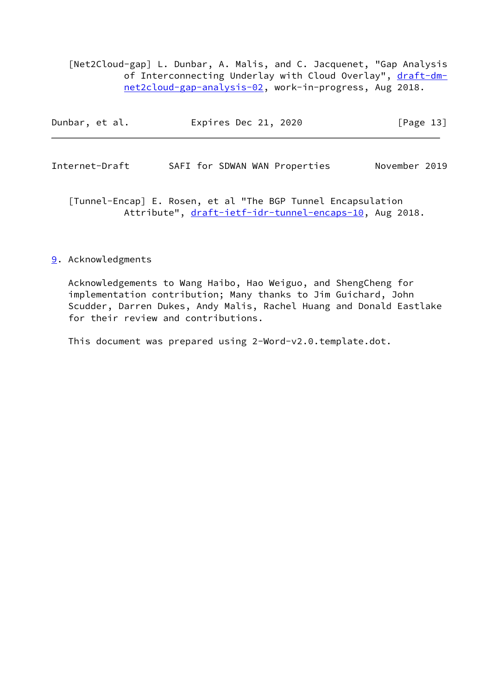[Net2Cloud-gap] L. Dunbar, A. Malis, and C. Jacquenet, "Gap Analysis of Interconnecting Underlay with Cloud Overlay", [draft-dm](https://datatracker.ietf.org/doc/pdf/draft-dm-net2cloud-gap-analysis-02) [net2cloud-gap-analysis-02,](https://datatracker.ietf.org/doc/pdf/draft-dm-net2cloud-gap-analysis-02) work-in-progress, Aug 2018.

<span id="page-13-1"></span>

| Dunbar, et al. | Expires Dec 21, 2020          | [Page 13]     |
|----------------|-------------------------------|---------------|
|                |                               |               |
| Internet-Draft | SAFI for SDWAN WAN Properties | November 2019 |

<span id="page-13-2"></span> [Tunnel-Encap] E. Rosen, et al "The BGP Tunnel Encapsulation Attribute", [draft-ietf-idr-tunnel-encaps-10](https://datatracker.ietf.org/doc/pdf/draft-ietf-idr-tunnel-encaps-10), Aug 2018.

## <span id="page-13-0"></span>[9](#page-13-0). Acknowledgments

 Acknowledgements to Wang Haibo, Hao Weiguo, and ShengCheng for implementation contribution; Many thanks to Jim Guichard, John Scudder, Darren Dukes, Andy Malis, Rachel Huang and Donald Eastlake for their review and contributions.

This document was prepared using 2-Word-v2.0.template.dot.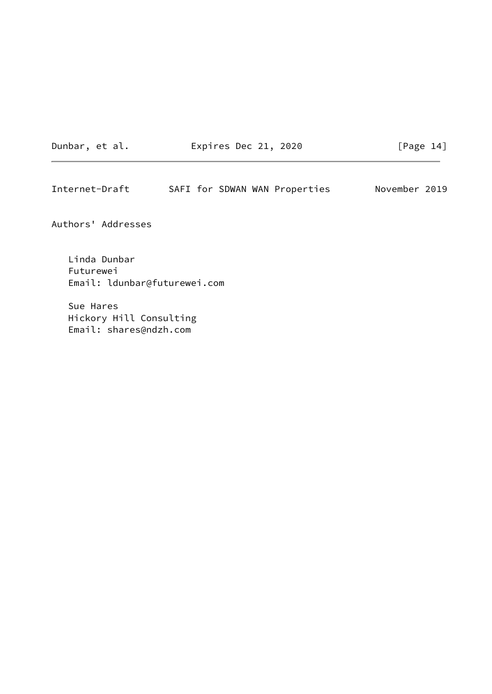Dunbar, et al. Expires Dec 21, 2020 [Page 14]

Internet-Draft SAFI for SDWAN WAN Properties November 2019

Authors' Addresses

 Linda Dunbar Futurewei Email: ldunbar@futurewei.com

 Sue Hares Hickory Hill Consulting Email: shares@ndzh.com